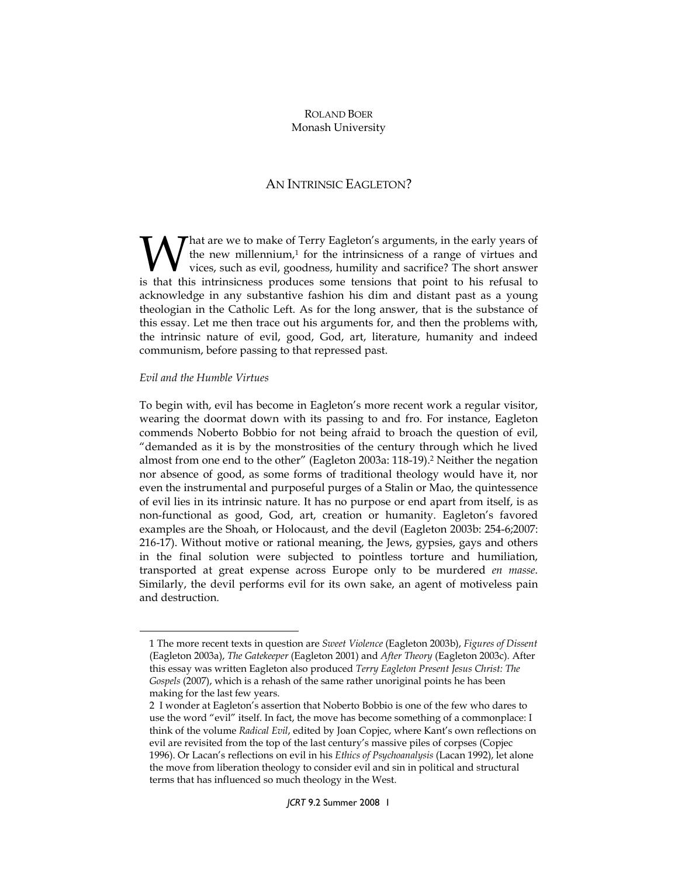## ROLAND BOER Monash University

## AN INTRINSIC EAGLETON?

 $\boldsymbol{\mathcal{T}}$ hat are we to make of Terry Eagleton's arguments, in the early years of the new millennium, $1$  for the intrinsicness of a range of virtues and vices, such as evil, goodness, humility and sacrifice? The short answer **is that the set of the intrinsicness** of a range of virtues and vices, such as evil, goodness, humility and sacrifice? The short answer is that this intrinsicness produces some tensions that point to his refusal to acknowledge in any substantive fashion his dim and distant past as a young theologian in the Catholic Left. As for the long answer, that is the substance of this essay. Let me then trace out his arguments for, and then the problems with, the intrinsic nature of evil, good, God, art, literature, humanity and indeed communism, before passing to that repressed past.

## Evil and the Humble Virtues

 $\overline{a}$ 

To begin with, evil has become in Eagleton's more recent work a regular visitor, wearing the doormat down with its passing to and fro. For instance, Eagleton commends Noberto Bobbio for not being afraid to broach the question of evil, "demanded as it is by the monstrosities of the century through which he lived almost from one end to the other" (Eagleton 2003a: 118-19).<sup>2</sup> Neither the negation nor absence of good, as some forms of traditional theology would have it, nor even the instrumental and purposeful purges of a Stalin or Mao, the quintessence of evil lies in its intrinsic nature. It has no purpose or end apart from itself, is as non-functional as good, God, art, creation or humanity. Eagleton's favored examples are the Shoah, or Holocaust, and the devil (Eagleton 2003b: 254-6;2007: 216-17). Without motive or rational meaning, the Jews, gypsies, gays and others in the final solution were subjected to pointless torture and humiliation, transported at great expense across Europe only to be murdered en masse. Similarly, the devil performs evil for its own sake, an agent of motiveless pain and destruction.

<sup>1</sup> The more recent texts in question are Sweet Violence (Eagleton 2003b), Figures of Dissent (Eagleton 2003a), The Gatekeeper (Eagleton 2001) and After Theory (Eagleton 2003c). After this essay was written Eagleton also produced Terry Eagleton Present Jesus Christ: The Gospels (2007), which is a rehash of the same rather unoriginal points he has been making for the last few years.

<sup>2</sup> I wonder at Eagleton's assertion that Noberto Bobbio is one of the few who dares to use the word "evil" itself. In fact, the move has become something of a commonplace: I think of the volume Radical Evil, edited by Joan Copjec, where Kant's own reflections on evil are revisited from the top of the last century's massive piles of corpses (Copjec 1996). Or Lacan's reflections on evil in his Ethics of Psychoanalysis (Lacan 1992), let alone the move from liberation theology to consider evil and sin in political and structural terms that has influenced so much theology in the West.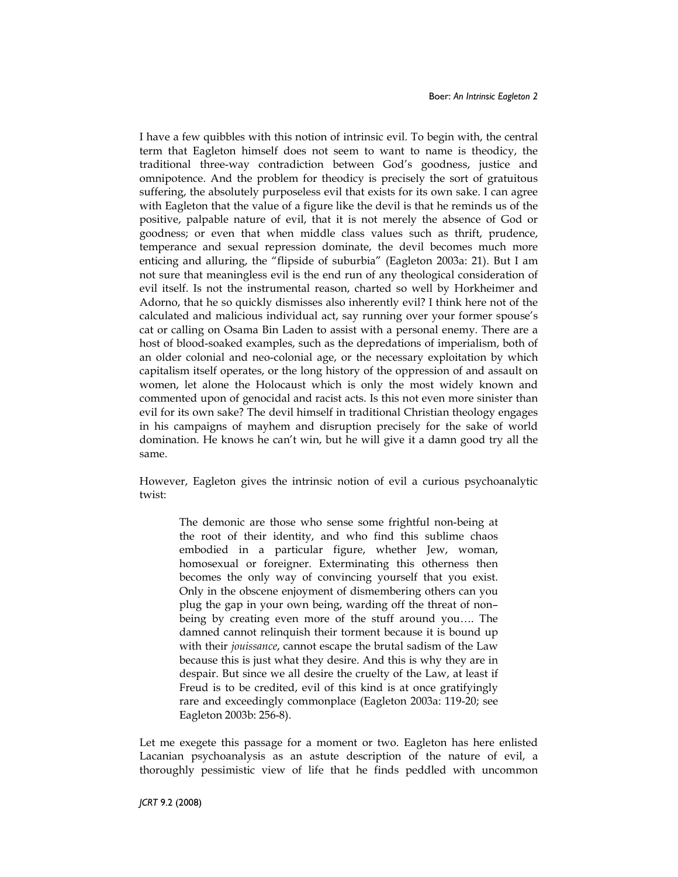I have a few quibbles with this notion of intrinsic evil. To begin with, the central term that Eagleton himself does not seem to want to name is theodicy, the traditional three-way contradiction between God's goodness, justice and omnipotence. And the problem for theodicy is precisely the sort of gratuitous suffering, the absolutely purposeless evil that exists for its own sake. I can agree with Eagleton that the value of a figure like the devil is that he reminds us of the positive, palpable nature of evil, that it is not merely the absence of God or goodness; or even that when middle class values such as thrift, prudence, temperance and sexual repression dominate, the devil becomes much more enticing and alluring, the "flipside of suburbia" (Eagleton 2003a: 21). But I am not sure that meaningless evil is the end run of any theological consideration of evil itself. Is not the instrumental reason, charted so well by Horkheimer and Adorno, that he so quickly dismisses also inherently evil? I think here not of the calculated and malicious individual act, say running over your former spouse's cat or calling on Osama Bin Laden to assist with a personal enemy. There are a host of blood-soaked examples, such as the depredations of imperialism, both of an older colonial and neo-colonial age, or the necessary exploitation by which capitalism itself operates, or the long history of the oppression of and assault on women, let alone the Holocaust which is only the most widely known and commented upon of genocidal and racist acts. Is this not even more sinister than evil for its own sake? The devil himself in traditional Christian theology engages in his campaigns of mayhem and disruption precisely for the sake of world domination. He knows he can't win, but he will give it a damn good try all the same.

However, Eagleton gives the intrinsic notion of evil a curious psychoanalytic twist:

The demonic are those who sense some frightful non-being at the root of their identity, and who find this sublime chaos embodied in a particular figure, whether Jew, woman, homosexual or foreigner. Exterminating this otherness then becomes the only way of convincing yourself that you exist. Only in the obscene enjoyment of dismembering others can you plug the gap in your own being, warding off the threat of non– being by creating even more of the stuff around you…. The damned cannot relinquish their torment because it is bound up with their jouissance, cannot escape the brutal sadism of the Law because this is just what they desire. And this is why they are in despair. But since we all desire the cruelty of the Law, at least if Freud is to be credited, evil of this kind is at once gratifyingly rare and exceedingly commonplace (Eagleton 2003a: 119-20; see Eagleton 2003b: 256-8).

Let me exegete this passage for a moment or two. Eagleton has here enlisted Lacanian psychoanalysis as an astute description of the nature of evil, a thoroughly pessimistic view of life that he finds peddled with uncommon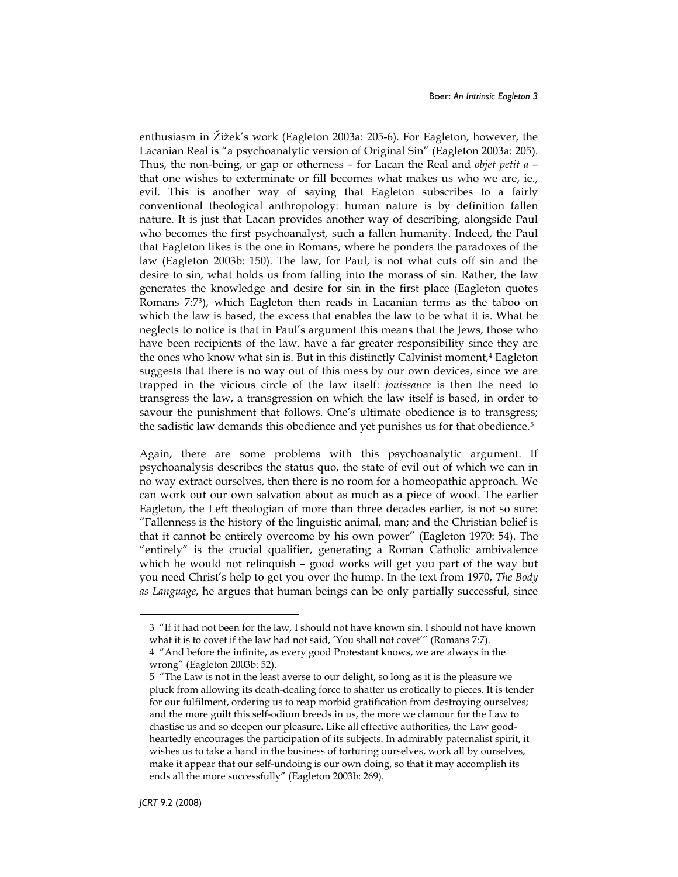enthusiasm in Žižek's work (Eagleton 2003a: 205-6). For Eagleton, however, the Lacanian Real is "a psychoanalytic version of Original Sin" (Eagleton 2003a: 205). Thus, the non-being, or gap or otherness – for Lacan the Real and objet petit a – that one wishes to exterminate or fill becomes what makes us who we are, ie., evil. This is another way of saying that Eagleton subscribes to a fairly conventional theological anthropology: human nature is by definition fallen nature. It is just that Lacan provides another way of describing, alongside Paul who becomes the first psychoanalyst, such a fallen humanity. Indeed, the Paul that Eagleton likes is the one in Romans, where he ponders the paradoxes of the law (Eagleton 2003b: 150). The law, for Paul, is not what cuts off sin and the desire to sin, what holds us from falling into the morass of sin. Rather, the law generates the knowledge and desire for sin in the first place (Eagleton quotes Romans 7:7<sup>3</sup> ), which Eagleton then reads in Lacanian terms as the taboo on which the law is based, the excess that enables the law to be what it is. What he neglects to notice is that in Paul's argument this means that the Jews, those who have been recipients of the law, have a far greater responsibility since they are the ones who know what sin is. But in this distinctly Calvinist moment,<sup>4</sup> Eagleton suggests that there is no way out of this mess by our own devices, since we are trapped in the vicious circle of the law itself: jouissance is then the need to transgress the law, a transgression on which the law itself is based, in order to savour the punishment that follows. One's ultimate obedience is to transgress; the sadistic law demands this obedience and yet punishes us for that obedience.<sup>5</sup>

Again, there are some problems with this psychoanalytic argument. If psychoanalysis describes the status quo, the state of evil out of which we can in no way extract ourselves, then there is no room for a homeopathic approach. We can work out our own salvation about as much as a piece of wood. The earlier Eagleton, the Left theologian of more than three decades earlier, is not so sure: "Fallenness is the history of the linguistic animal, man; and the Christian belief is that it cannot be entirely overcome by his own power" (Eagleton 1970: 54). The "entirely" is the crucial qualifier, generating a Roman Catholic ambivalence which he would not relinquish – good works will get you part of the way but you need Christ's help to get you over the hump. In the text from 1970, The Body as Language, he argues that human beings can be only partially successful, since

 $\overline{a}$ 

<sup>3 &</sup>quot;If it had not been for the law, I should not have known sin. I should not have known what it is to covet if the law had not said, 'You shall not covet'" (Romans 7:7).

<sup>4 &</sup>quot;And before the infinite, as every good Protestant knows, we are always in the wrong" (Eagleton 2003b: 52).

<sup>5 &</sup>quot;The Law is not in the least averse to our delight, so long as it is the pleasure we pluck from allowing its death-dealing force to shatter us erotically to pieces. It is tender for our fulfilment, ordering us to reap morbid gratification from destroying ourselves; and the more guilt this self-odium breeds in us, the more we clamour for the Law to chastise us and so deepen our pleasure. Like all effective authorities, the Law goodheartedly encourages the participation of its subjects. In admirably paternalist spirit, it wishes us to take a hand in the business of torturing ourselves, work all by ourselves, make it appear that our self-undoing is our own doing, so that it may accomplish its ends all the more successfully" (Eagleton 2003b: 269).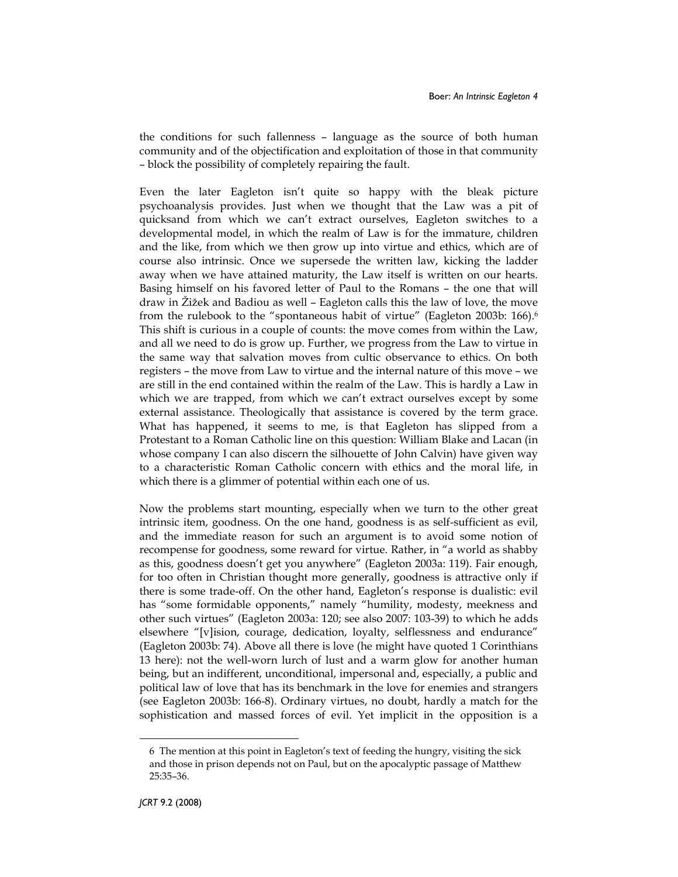the conditions for such fallenness – language as the source of both human community and of the objectification and exploitation of those in that community – block the possibility of completely repairing the fault.

Even the later Eagleton isn't quite so happy with the bleak picture psychoanalysis provides. Just when we thought that the Law was a pit of quicksand from which we can't extract ourselves, Eagleton switches to a developmental model, in which the realm of Law is for the immature, children and the like, from which we then grow up into virtue and ethics, which are of course also intrinsic. Once we supersede the written law, kicking the ladder away when we have attained maturity, the Law itself is written on our hearts. Basing himself on his favored letter of Paul to the Romans – the one that will draw in Žižek and Badiou as well – Eagleton calls this the law of love, the move from the rulebook to the "spontaneous habit of virtue" (Eagleton 2003b: 166).<sup>6</sup> This shift is curious in a couple of counts: the move comes from within the Law, and all we need to do is grow up. Further, we progress from the Law to virtue in the same way that salvation moves from cultic observance to ethics. On both registers – the move from Law to virtue and the internal nature of this move – we are still in the end contained within the realm of the Law. This is hardly a Law in which we are trapped, from which we can't extract ourselves except by some external assistance. Theologically that assistance is covered by the term grace. What has happened, it seems to me, is that Eagleton has slipped from a Protestant to a Roman Catholic line on this question: William Blake and Lacan (in whose company I can also discern the silhouette of John Calvin) have given way to a characteristic Roman Catholic concern with ethics and the moral life, in which there is a glimmer of potential within each one of us.

Now the problems start mounting, especially when we turn to the other great intrinsic item, goodness. On the one hand, goodness is as self-sufficient as evil, and the immediate reason for such an argument is to avoid some notion of recompense for goodness, some reward for virtue. Rather, in "a world as shabby as this, goodness doesn't get you anywhere" (Eagleton 2003a: 119). Fair enough, for too often in Christian thought more generally, goodness is attractive only if there is some trade-off. On the other hand, Eagleton's response is dualistic: evil has "some formidable opponents," namely "humility, modesty, meekness and other such virtues" (Eagleton 2003a: 120; see also 2007: 103-39) to which he adds elsewhere "[v]ision, courage, dedication, loyalty, selflessness and endurance" (Eagleton 2003b: 74). Above all there is love (he might have quoted 1 Corinthians 13 here): not the well-worn lurch of lust and a warm glow for another human being, but an indifferent, unconditional, impersonal and, especially, a public and political law of love that has its benchmark in the love for enemies and strangers (see Eagleton 2003b: 166-8). Ordinary virtues, no doubt, hardly a match for the sophistication and massed forces of evil. Yet implicit in the opposition is a

 $\overline{a}$ 

<sup>6</sup> The mention at this point in Eagleton's text of feeding the hungry, visiting the sick and those in prison depends not on Paul, but on the apocalyptic passage of Matthew 25:35–36.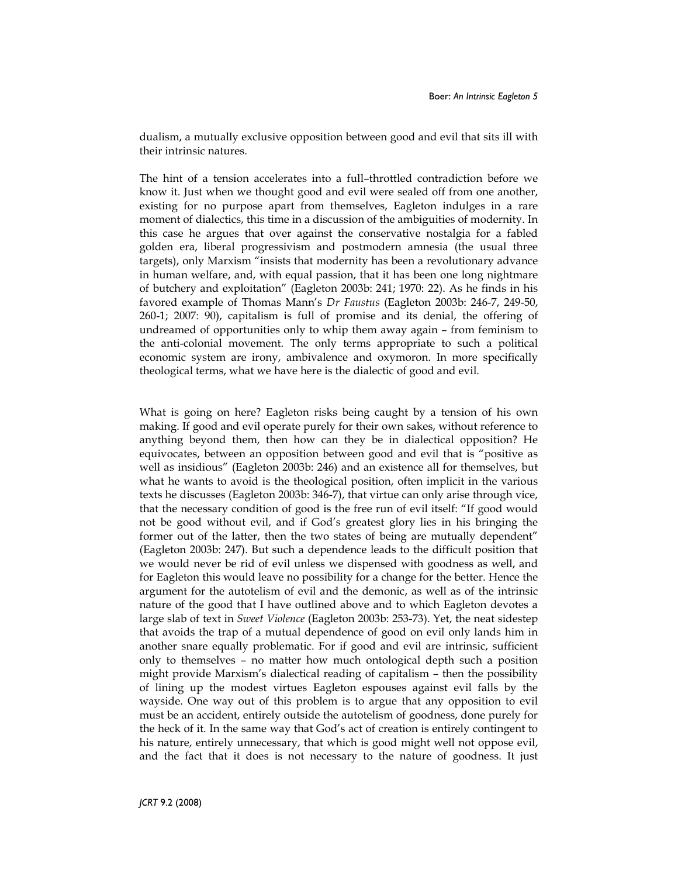dualism, a mutually exclusive opposition between good and evil that sits ill with their intrinsic natures.

The hint of a tension accelerates into a full–throttled contradiction before we know it. Just when we thought good and evil were sealed off from one another, existing for no purpose apart from themselves, Eagleton indulges in a rare moment of dialectics, this time in a discussion of the ambiguities of modernity. In this case he argues that over against the conservative nostalgia for a fabled golden era, liberal progressivism and postmodern amnesia (the usual three targets), only Marxism "insists that modernity has been a revolutionary advance in human welfare, and, with equal passion, that it has been one long nightmare of butchery and exploitation" (Eagleton 2003b: 241; 1970: 22). As he finds in his favored example of Thomas Mann's Dr Faustus (Eagleton 2003b: 246-7, 249-50, 260-1; 2007: 90), capitalism is full of promise and its denial, the offering of undreamed of opportunities only to whip them away again – from feminism to the anti-colonial movement. The only terms appropriate to such a political economic system are irony, ambivalence and oxymoron. In more specifically theological terms, what we have here is the dialectic of good and evil.

What is going on here? Eagleton risks being caught by a tension of his own making. If good and evil operate purely for their own sakes, without reference to anything beyond them, then how can they be in dialectical opposition? He equivocates, between an opposition between good and evil that is "positive as well as insidious" (Eagleton 2003b: 246) and an existence all for themselves, but what he wants to avoid is the theological position, often implicit in the various texts he discusses (Eagleton 2003b: 346-7), that virtue can only arise through vice, that the necessary condition of good is the free run of evil itself: "If good would not be good without evil, and if God's greatest glory lies in his bringing the former out of the latter, then the two states of being are mutually dependent" (Eagleton 2003b: 247). But such a dependence leads to the difficult position that we would never be rid of evil unless we dispensed with goodness as well, and for Eagleton this would leave no possibility for a change for the better. Hence the argument for the autotelism of evil and the demonic, as well as of the intrinsic nature of the good that I have outlined above and to which Eagleton devotes a large slab of text in Sweet Violence (Eagleton 2003b: 253-73). Yet, the neat sidestep that avoids the trap of a mutual dependence of good on evil only lands him in another snare equally problematic. For if good and evil are intrinsic, sufficient only to themselves – no matter how much ontological depth such a position might provide Marxism's dialectical reading of capitalism – then the possibility of lining up the modest virtues Eagleton espouses against evil falls by the wayside. One way out of this problem is to argue that any opposition to evil must be an accident, entirely outside the autotelism of goodness, done purely for the heck of it. In the same way that God's act of creation is entirely contingent to his nature, entirely unnecessary, that which is good might well not oppose evil, and the fact that it does is not necessary to the nature of goodness. It just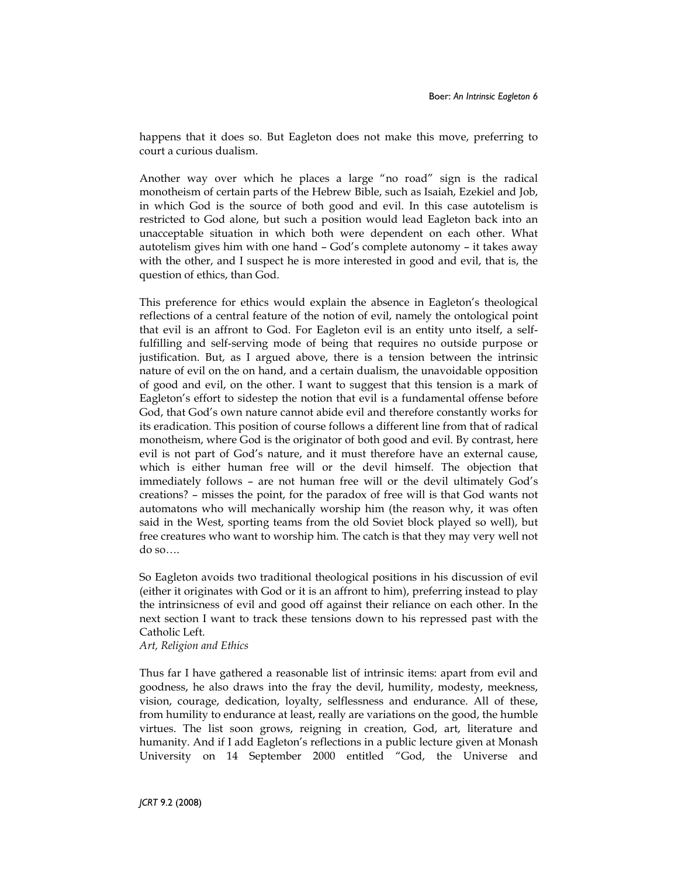happens that it does so. But Eagleton does not make this move, preferring to court a curious dualism.

Another way over which he places a large "no road" sign is the radical monotheism of certain parts of the Hebrew Bible, such as Isaiah, Ezekiel and Job, in which God is the source of both good and evil. In this case autotelism is restricted to God alone, but such a position would lead Eagleton back into an unacceptable situation in which both were dependent on each other. What autotelism gives him with one hand – God's complete autonomy – it takes away with the other, and I suspect he is more interested in good and evil, that is, the question of ethics, than God.

This preference for ethics would explain the absence in Eagleton's theological reflections of a central feature of the notion of evil, namely the ontological point that evil is an affront to God. For Eagleton evil is an entity unto itself, a selffulfilling and self-serving mode of being that requires no outside purpose or justification. But, as I argued above, there is a tension between the intrinsic nature of evil on the on hand, and a certain dualism, the unavoidable opposition of good and evil, on the other. I want to suggest that this tension is a mark of Eagleton's effort to sidestep the notion that evil is a fundamental offense before God, that God's own nature cannot abide evil and therefore constantly works for its eradication. This position of course follows a different line from that of radical monotheism, where God is the originator of both good and evil. By contrast, here evil is not part of God's nature, and it must therefore have an external cause, which is either human free will or the devil himself. The objection that immediately follows – are not human free will or the devil ultimately God's creations? – misses the point, for the paradox of free will is that God wants not automatons who will mechanically worship him (the reason why, it was often said in the West, sporting teams from the old Soviet block played so well), but free creatures who want to worship him. The catch is that they may very well not do so….

So Eagleton avoids two traditional theological positions in his discussion of evil (either it originates with God or it is an affront to him), preferring instead to play the intrinsicness of evil and good off against their reliance on each other. In the next section I want to track these tensions down to his repressed past with the Catholic Left.

Art, Religion and Ethics

Thus far I have gathered a reasonable list of intrinsic items: apart from evil and goodness, he also draws into the fray the devil, humility, modesty, meekness, vision, courage, dedication, loyalty, selflessness and endurance. All of these, from humility to endurance at least, really are variations on the good, the humble virtues. The list soon grows, reigning in creation, God, art, literature and humanity. And if I add Eagleton's reflections in a public lecture given at Monash University on 14 September 2000 entitled "God, the Universe and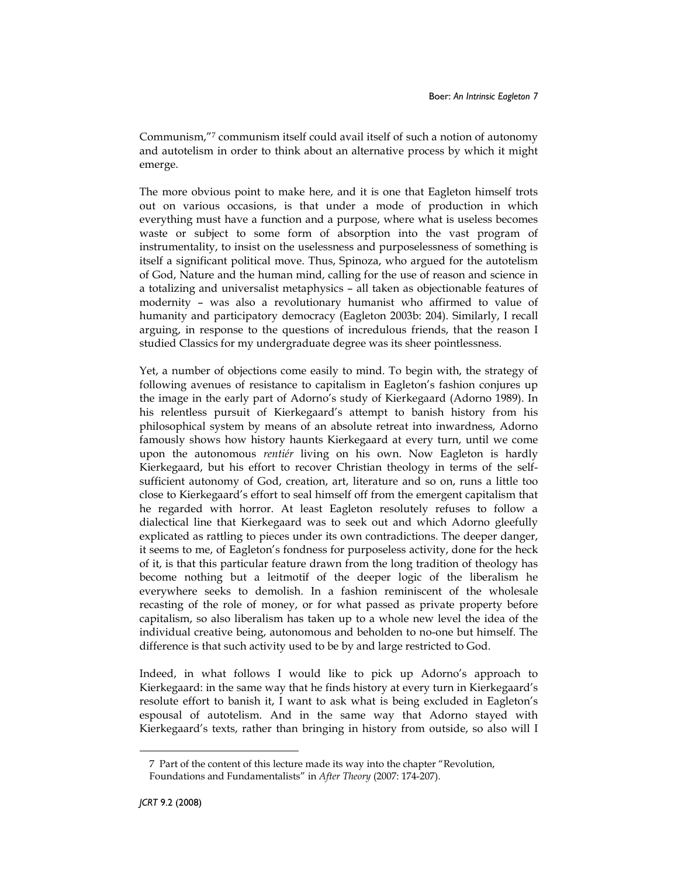Communism,"<sup>7</sup> communism itself could avail itself of such a notion of autonomy and autotelism in order to think about an alternative process by which it might emerge.

The more obvious point to make here, and it is one that Eagleton himself trots out on various occasions, is that under a mode of production in which everything must have a function and a purpose, where what is useless becomes waste or subject to some form of absorption into the vast program of instrumentality, to insist on the uselessness and purposelessness of something is itself a significant political move. Thus, Spinoza, who argued for the autotelism of God, Nature and the human mind, calling for the use of reason and science in a totalizing and universalist metaphysics – all taken as objectionable features of modernity – was also a revolutionary humanist who affirmed to value of humanity and participatory democracy (Eagleton 2003b: 204). Similarly, I recall arguing, in response to the questions of incredulous friends, that the reason I studied Classics for my undergraduate degree was its sheer pointlessness.

Yet, a number of objections come easily to mind. To begin with, the strategy of following avenues of resistance to capitalism in Eagleton's fashion conjures up the image in the early part of Adorno's study of Kierkegaard (Adorno 1989). In his relentless pursuit of Kierkegaard's attempt to banish history from his philosophical system by means of an absolute retreat into inwardness, Adorno famously shows how history haunts Kierkegaard at every turn, until we come upon the autonomous rentiér living on his own. Now Eagleton is hardly Kierkegaard, but his effort to recover Christian theology in terms of the selfsufficient autonomy of God, creation, art, literature and so on, runs a little too close to Kierkegaard's effort to seal himself off from the emergent capitalism that he regarded with horror. At least Eagleton resolutely refuses to follow a dialectical line that Kierkegaard was to seek out and which Adorno gleefully explicated as rattling to pieces under its own contradictions. The deeper danger, it seems to me, of Eagleton's fondness for purposeless activity, done for the heck of it, is that this particular feature drawn from the long tradition of theology has become nothing but a leitmotif of the deeper logic of the liberalism he everywhere seeks to demolish. In a fashion reminiscent of the wholesale recasting of the role of money, or for what passed as private property before capitalism, so also liberalism has taken up to a whole new level the idea of the individual creative being, autonomous and beholden to no-one but himself. The difference is that such activity used to be by and large restricted to God.

Indeed, in what follows I would like to pick up Adorno's approach to Kierkegaard: in the same way that he finds history at every turn in Kierkegaard's resolute effort to banish it, I want to ask what is being excluded in Eagleton's espousal of autotelism. And in the same way that Adorno stayed with Kierkegaard's texts, rather than bringing in history from outside, so also will I

 $\overline{a}$ 

<sup>7</sup> Part of the content of this lecture made its way into the chapter "Revolution, Foundations and Fundamentalists" in After Theory (2007: 174-207).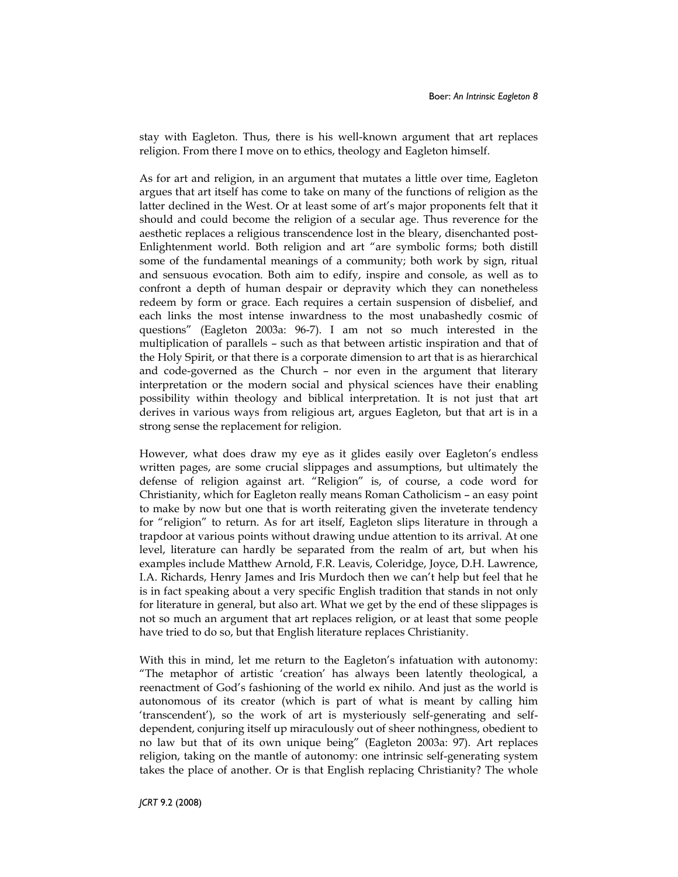stay with Eagleton. Thus, there is his well-known argument that art replaces religion. From there I move on to ethics, theology and Eagleton himself.

As for art and religion, in an argument that mutates a little over time, Eagleton argues that art itself has come to take on many of the functions of religion as the latter declined in the West. Or at least some of art's major proponents felt that it should and could become the religion of a secular age. Thus reverence for the aesthetic replaces a religious transcendence lost in the bleary, disenchanted post-Enlightenment world. Both religion and art "are symbolic forms; both distill some of the fundamental meanings of a community; both work by sign, ritual and sensuous evocation. Both aim to edify, inspire and console, as well as to confront a depth of human despair or depravity which they can nonetheless redeem by form or grace. Each requires a certain suspension of disbelief, and each links the most intense inwardness to the most unabashedly cosmic of questions" (Eagleton 2003a: 96-7). I am not so much interested in the multiplication of parallels – such as that between artistic inspiration and that of the Holy Spirit, or that there is a corporate dimension to art that is as hierarchical and code-governed as the Church – nor even in the argument that literary interpretation or the modern social and physical sciences have their enabling possibility within theology and biblical interpretation. It is not just that art derives in various ways from religious art, argues Eagleton, but that art is in a strong sense the replacement for religion.

However, what does draw my eye as it glides easily over Eagleton's endless written pages, are some crucial slippages and assumptions, but ultimately the defense of religion against art. "Religion" is, of course, a code word for Christianity, which for Eagleton really means Roman Catholicism – an easy point to make by now but one that is worth reiterating given the inveterate tendency for "religion" to return. As for art itself, Eagleton slips literature in through a trapdoor at various points without drawing undue attention to its arrival. At one level, literature can hardly be separated from the realm of art, but when his examples include Matthew Arnold, F.R. Leavis, Coleridge, Joyce, D.H. Lawrence, I.A. Richards, Henry James and Iris Murdoch then we can't help but feel that he is in fact speaking about a very specific English tradition that stands in not only for literature in general, but also art. What we get by the end of these slippages is not so much an argument that art replaces religion, or at least that some people have tried to do so, but that English literature replaces Christianity.

With this in mind, let me return to the Eagleton's infatuation with autonomy: "The metaphor of artistic 'creation' has always been latently theological, a reenactment of God's fashioning of the world ex nihilo. And just as the world is autonomous of its creator (which is part of what is meant by calling him 'transcendent'), so the work of art is mysteriously self-generating and selfdependent, conjuring itself up miraculously out of sheer nothingness, obedient to no law but that of its own unique being" (Eagleton 2003a: 97). Art replaces religion, taking on the mantle of autonomy: one intrinsic self-generating system takes the place of another. Or is that English replacing Christianity? The whole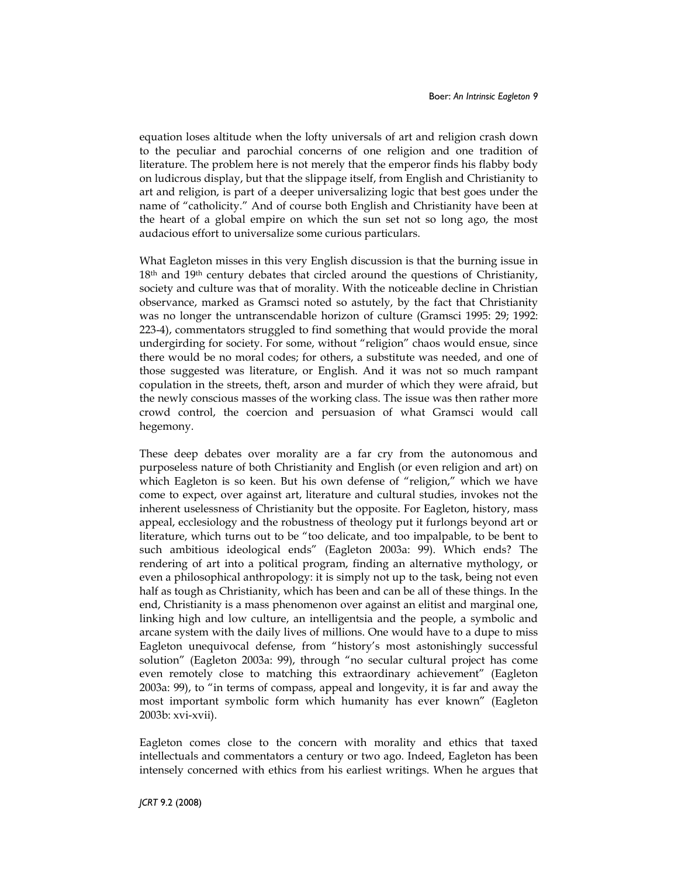equation loses altitude when the lofty universals of art and religion crash down to the peculiar and parochial concerns of one religion and one tradition of literature. The problem here is not merely that the emperor finds his flabby body on ludicrous display, but that the slippage itself, from English and Christianity to art and religion, is part of a deeper universalizing logic that best goes under the name of "catholicity." And of course both English and Christianity have been at the heart of a global empire on which the sun set not so long ago, the most audacious effort to universalize some curious particulars.

What Eagleton misses in this very English discussion is that the burning issue in 18<sup>th</sup> and 19<sup>th</sup> century debates that circled around the questions of Christianity, society and culture was that of morality. With the noticeable decline in Christian observance, marked as Gramsci noted so astutely, by the fact that Christianity was no longer the untranscendable horizon of culture (Gramsci 1995: 29; 1992: 223-4), commentators struggled to find something that would provide the moral undergirding for society. For some, without "religion" chaos would ensue, since there would be no moral codes; for others, a substitute was needed, and one of those suggested was literature, or English. And it was not so much rampant copulation in the streets, theft, arson and murder of which they were afraid, but the newly conscious masses of the working class. The issue was then rather more crowd control, the coercion and persuasion of what Gramsci would call hegemony.

These deep debates over morality are a far cry from the autonomous and purposeless nature of both Christianity and English (or even religion and art) on which Eagleton is so keen. But his own defense of "religion," which we have come to expect, over against art, literature and cultural studies, invokes not the inherent uselessness of Christianity but the opposite. For Eagleton, history, mass appeal, ecclesiology and the robustness of theology put it furlongs beyond art or literature, which turns out to be "too delicate, and too impalpable, to be bent to such ambitious ideological ends" (Eagleton 2003a: 99). Which ends? The rendering of art into a political program, finding an alternative mythology, or even a philosophical anthropology: it is simply not up to the task, being not even half as tough as Christianity, which has been and can be all of these things. In the end, Christianity is a mass phenomenon over against an elitist and marginal one, linking high and low culture, an intelligentsia and the people, a symbolic and arcane system with the daily lives of millions. One would have to a dupe to miss Eagleton unequivocal defense, from "history's most astonishingly successful solution" (Eagleton 2003a: 99), through "no secular cultural project has come even remotely close to matching this extraordinary achievement" (Eagleton 2003a: 99), to "in terms of compass, appeal and longevity, it is far and away the most important symbolic form which humanity has ever known" (Eagleton 2003b: xvi-xvii).

Eagleton comes close to the concern with morality and ethics that taxed intellectuals and commentators a century or two ago. Indeed, Eagleton has been intensely concerned with ethics from his earliest writings. When he argues that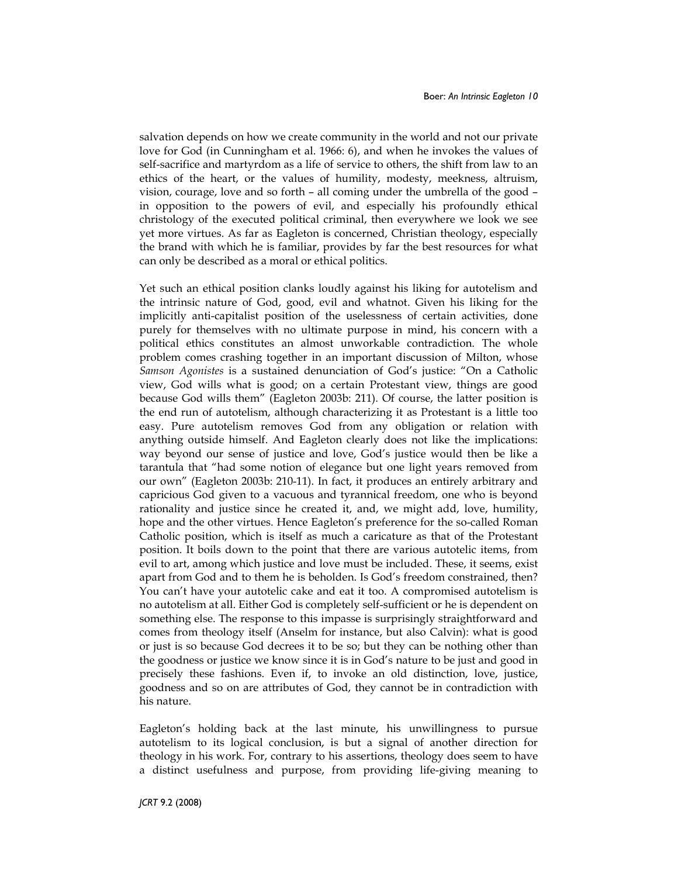salvation depends on how we create community in the world and not our private love for God (in Cunningham et al. 1966: 6), and when he invokes the values of self-sacrifice and martyrdom as a life of service to others, the shift from law to an ethics of the heart, or the values of humility, modesty, meekness, altruism, vision, courage, love and so forth – all coming under the umbrella of the good – in opposition to the powers of evil, and especially his profoundly ethical christology of the executed political criminal, then everywhere we look we see yet more virtues. As far as Eagleton is concerned, Christian theology, especially the brand with which he is familiar, provides by far the best resources for what can only be described as a moral or ethical politics.

Yet such an ethical position clanks loudly against his liking for autotelism and the intrinsic nature of God, good, evil and whatnot. Given his liking for the implicitly anti-capitalist position of the uselessness of certain activities, done purely for themselves with no ultimate purpose in mind, his concern with a political ethics constitutes an almost unworkable contradiction. The whole problem comes crashing together in an important discussion of Milton, whose Samson Agonistes is a sustained denunciation of God's justice: "On a Catholic view, God wills what is good; on a certain Protestant view, things are good because God wills them" (Eagleton 2003b: 211). Of course, the latter position is the end run of autotelism, although characterizing it as Protestant is a little too easy. Pure autotelism removes God from any obligation or relation with anything outside himself. And Eagleton clearly does not like the implications: way beyond our sense of justice and love, God's justice would then be like a tarantula that "had some notion of elegance but one light years removed from our own" (Eagleton 2003b: 210-11). In fact, it produces an entirely arbitrary and capricious God given to a vacuous and tyrannical freedom, one who is beyond rationality and justice since he created it, and, we might add, love, humility, hope and the other virtues. Hence Eagleton's preference for the so-called Roman Catholic position, which is itself as much a caricature as that of the Protestant position. It boils down to the point that there are various autotelic items, from evil to art, among which justice and love must be included. These, it seems, exist apart from God and to them he is beholden. Is God's freedom constrained, then? You can't have your autotelic cake and eat it too. A compromised autotelism is no autotelism at all. Either God is completely self-sufficient or he is dependent on something else. The response to this impasse is surprisingly straightforward and comes from theology itself (Anselm for instance, but also Calvin): what is good or just is so because God decrees it to be so; but they can be nothing other than the goodness or justice we know since it is in God's nature to be just and good in precisely these fashions. Even if, to invoke an old distinction, love, justice, goodness and so on are attributes of God, they cannot be in contradiction with his nature.

Eagleton's holding back at the last minute, his unwillingness to pursue autotelism to its logical conclusion, is but a signal of another direction for theology in his work. For, contrary to his assertions, theology does seem to have a distinct usefulness and purpose, from providing life-giving meaning to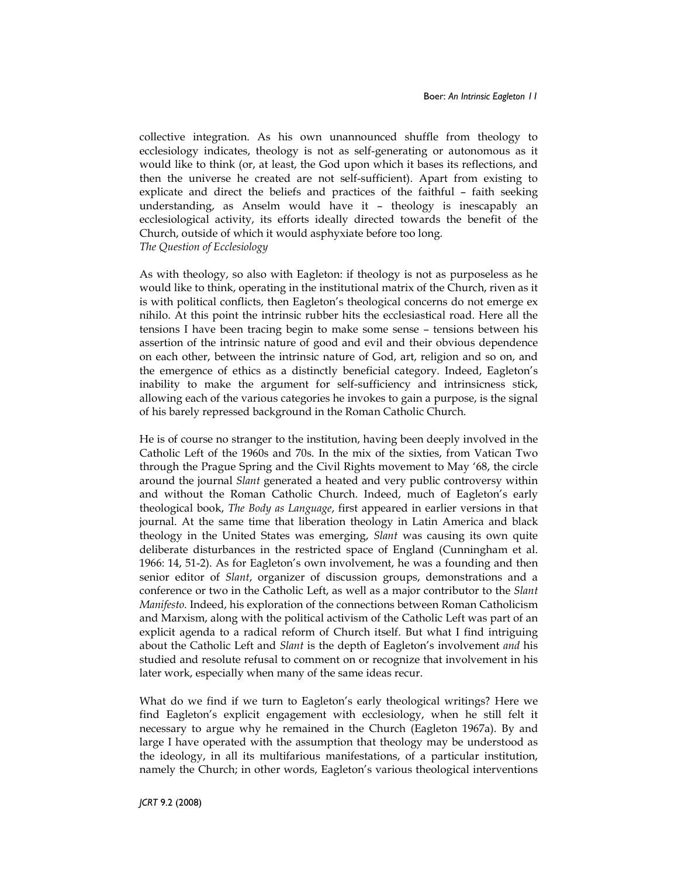collective integration. As his own unannounced shuffle from theology to ecclesiology indicates, theology is not as self-generating or autonomous as it would like to think (or, at least, the God upon which it bases its reflections, and then the universe he created are not self-sufficient). Apart from existing to explicate and direct the beliefs and practices of the faithful – faith seeking understanding, as Anselm would have it – theology is inescapably an ecclesiological activity, its efforts ideally directed towards the benefit of the Church, outside of which it would asphyxiate before too long. The Question of Ecclesiology

As with theology, so also with Eagleton: if theology is not as purposeless as he would like to think, operating in the institutional matrix of the Church, riven as it is with political conflicts, then Eagleton's theological concerns do not emerge ex nihilo. At this point the intrinsic rubber hits the ecclesiastical road. Here all the tensions I have been tracing begin to make some sense – tensions between his assertion of the intrinsic nature of good and evil and their obvious dependence on each other, between the intrinsic nature of God, art, religion and so on, and the emergence of ethics as a distinctly beneficial category. Indeed, Eagleton's inability to make the argument for self-sufficiency and intrinsicness stick, allowing each of the various categories he invokes to gain a purpose, is the signal of his barely repressed background in the Roman Catholic Church.

He is of course no stranger to the institution, having been deeply involved in the Catholic Left of the 1960s and 70s. In the mix of the sixties, from Vatican Two through the Prague Spring and the Civil Rights movement to May '68, the circle around the journal Slant generated a heated and very public controversy within and without the Roman Catholic Church. Indeed, much of Eagleton's early theological book, The Body as Language, first appeared in earlier versions in that journal. At the same time that liberation theology in Latin America and black theology in the United States was emerging, Slant was causing its own quite deliberate disturbances in the restricted space of England (Cunningham et al. 1966: 14, 51-2). As for Eagleton's own involvement, he was a founding and then senior editor of *Slant*, organizer of discussion groups, demonstrations and a conference or two in the Catholic Left, as well as a major contributor to the Slant Manifesto. Indeed, his exploration of the connections between Roman Catholicism and Marxism, along with the political activism of the Catholic Left was part of an explicit agenda to a radical reform of Church itself. But what I find intriguing about the Catholic Left and *Slant* is the depth of Eagleton's involvement *and* his studied and resolute refusal to comment on or recognize that involvement in his later work, especially when many of the same ideas recur.

What do we find if we turn to Eagleton's early theological writings? Here we find Eagleton's explicit engagement with ecclesiology, when he still felt it necessary to argue why he remained in the Church (Eagleton 1967a). By and large I have operated with the assumption that theology may be understood as the ideology, in all its multifarious manifestations, of a particular institution, namely the Church; in other words, Eagleton's various theological interventions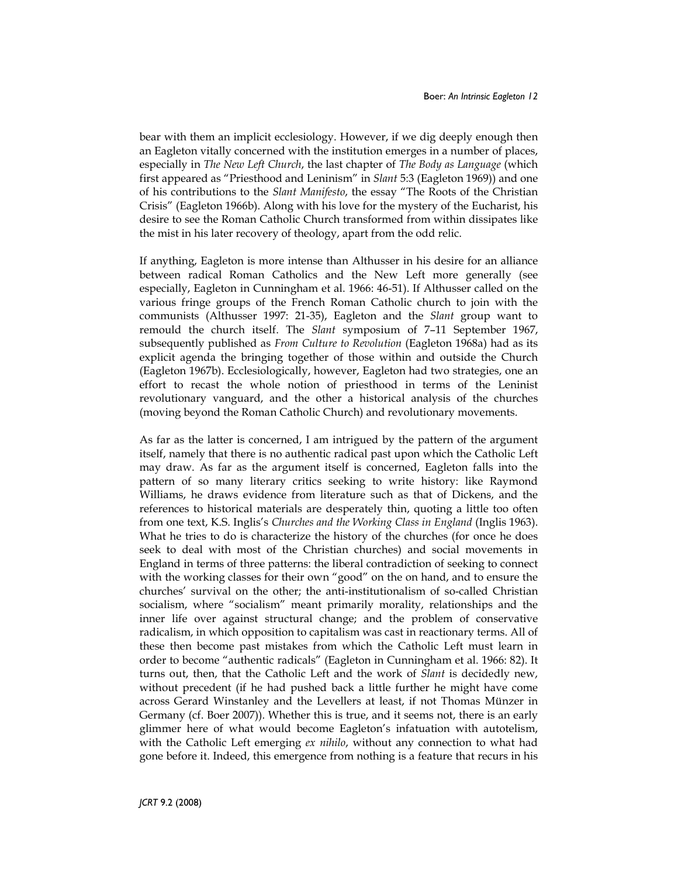bear with them an implicit ecclesiology. However, if we dig deeply enough then an Eagleton vitally concerned with the institution emerges in a number of places, especially in The New Left Church, the last chapter of The Body as Language (which first appeared as "Priesthood and Leninism" in Slant 5:3 (Eagleton 1969)) and one of his contributions to the Slant Manifesto, the essay "The Roots of the Christian Crisis" (Eagleton 1966b). Along with his love for the mystery of the Eucharist, his desire to see the Roman Catholic Church transformed from within dissipates like the mist in his later recovery of theology, apart from the odd relic.

If anything, Eagleton is more intense than Althusser in his desire for an alliance between radical Roman Catholics and the New Left more generally (see especially, Eagleton in Cunningham et al. 1966: 46-51). If Althusser called on the various fringe groups of the French Roman Catholic church to join with the communists (Althusser 1997: 21-35), Eagleton and the Slant group want to remould the church itself. The Slant symposium of 7–11 September 1967, subsequently published as From Culture to Revolution (Eagleton 1968a) had as its explicit agenda the bringing together of those within and outside the Church (Eagleton 1967b). Ecclesiologically, however, Eagleton had two strategies, one an effort to recast the whole notion of priesthood in terms of the Leninist revolutionary vanguard, and the other a historical analysis of the churches (moving beyond the Roman Catholic Church) and revolutionary movements.

As far as the latter is concerned, I am intrigued by the pattern of the argument itself, namely that there is no authentic radical past upon which the Catholic Left may draw. As far as the argument itself is concerned, Eagleton falls into the pattern of so many literary critics seeking to write history: like Raymond Williams, he draws evidence from literature such as that of Dickens, and the references to historical materials are desperately thin, quoting a little too often from one text, K.S. Inglis's Churches and the Working Class in England (Inglis 1963). What he tries to do is characterize the history of the churches (for once he does seek to deal with most of the Christian churches) and social movements in England in terms of three patterns: the liberal contradiction of seeking to connect with the working classes for their own "good" on the on hand, and to ensure the churches' survival on the other; the anti-institutionalism of so-called Christian socialism, where "socialism" meant primarily morality, relationships and the inner life over against structural change; and the problem of conservative radicalism, in which opposition to capitalism was cast in reactionary terms. All of these then become past mistakes from which the Catholic Left must learn in order to become "authentic radicals" (Eagleton in Cunningham et al. 1966: 82). It turns out, then, that the Catholic Left and the work of Slant is decidedly new, without precedent (if he had pushed back a little further he might have come across Gerard Winstanley and the Levellers at least, if not Thomas Münzer in Germany (cf. Boer 2007)). Whether this is true, and it seems not, there is an early glimmer here of what would become Eagleton's infatuation with autotelism, with the Catholic Left emerging ex nihilo, without any connection to what had gone before it. Indeed, this emergence from nothing is a feature that recurs in his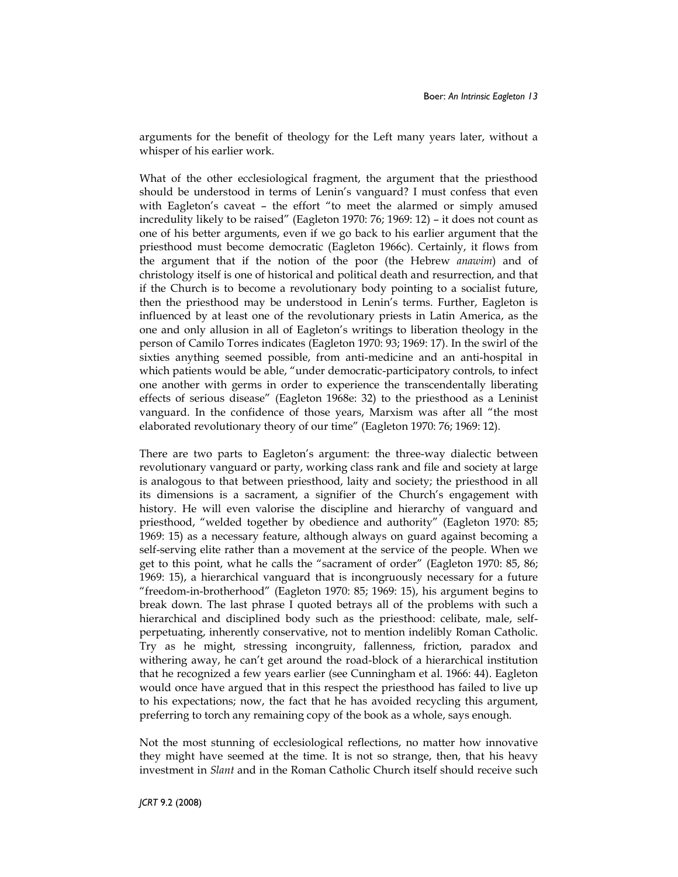arguments for the benefit of theology for the Left many years later, without a whisper of his earlier work.

What of the other ecclesiological fragment, the argument that the priesthood should be understood in terms of Lenin's vanguard? I must confess that even with Eagleton's caveat – the effort "to meet the alarmed or simply amused incredulity likely to be raised" (Eagleton 1970: 76; 1969: 12) – it does not count as one of his better arguments, even if we go back to his earlier argument that the priesthood must become democratic (Eagleton 1966c). Certainly, it flows from the argument that if the notion of the poor (the Hebrew anawim) and of christology itself is one of historical and political death and resurrection, and that if the Church is to become a revolutionary body pointing to a socialist future, then the priesthood may be understood in Lenin's terms. Further, Eagleton is influenced by at least one of the revolutionary priests in Latin America, as the one and only allusion in all of Eagleton's writings to liberation theology in the person of Camilo Torres indicates (Eagleton 1970: 93; 1969: 17). In the swirl of the sixties anything seemed possible, from anti-medicine and an anti-hospital in which patients would be able, "under democratic-participatory controls, to infect one another with germs in order to experience the transcendentally liberating effects of serious disease" (Eagleton 1968e: 32) to the priesthood as a Leninist vanguard. In the confidence of those years, Marxism was after all "the most elaborated revolutionary theory of our time" (Eagleton 1970: 76; 1969: 12).

There are two parts to Eagleton's argument: the three-way dialectic between revolutionary vanguard or party, working class rank and file and society at large is analogous to that between priesthood, laity and society; the priesthood in all its dimensions is a sacrament, a signifier of the Church's engagement with history. He will even valorise the discipline and hierarchy of vanguard and priesthood, "welded together by obedience and authority" (Eagleton 1970: 85; 1969: 15) as a necessary feature, although always on guard against becoming a self-serving elite rather than a movement at the service of the people. When we get to this point, what he calls the "sacrament of order" (Eagleton 1970: 85, 86; 1969: 15), a hierarchical vanguard that is incongruously necessary for a future "freedom-in-brotherhood" (Eagleton 1970: 85; 1969: 15), his argument begins to break down. The last phrase I quoted betrays all of the problems with such a hierarchical and disciplined body such as the priesthood: celibate, male, selfperpetuating, inherently conservative, not to mention indelibly Roman Catholic. Try as he might, stressing incongruity, fallenness, friction, paradox and withering away, he can't get around the road-block of a hierarchical institution that he recognized a few years earlier (see Cunningham et al. 1966: 44). Eagleton would once have argued that in this respect the priesthood has failed to live up to his expectations; now, the fact that he has avoided recycling this argument, preferring to torch any remaining copy of the book as a whole, says enough.

Not the most stunning of ecclesiological reflections, no matter how innovative they might have seemed at the time. It is not so strange, then, that his heavy investment in Slant and in the Roman Catholic Church itself should receive such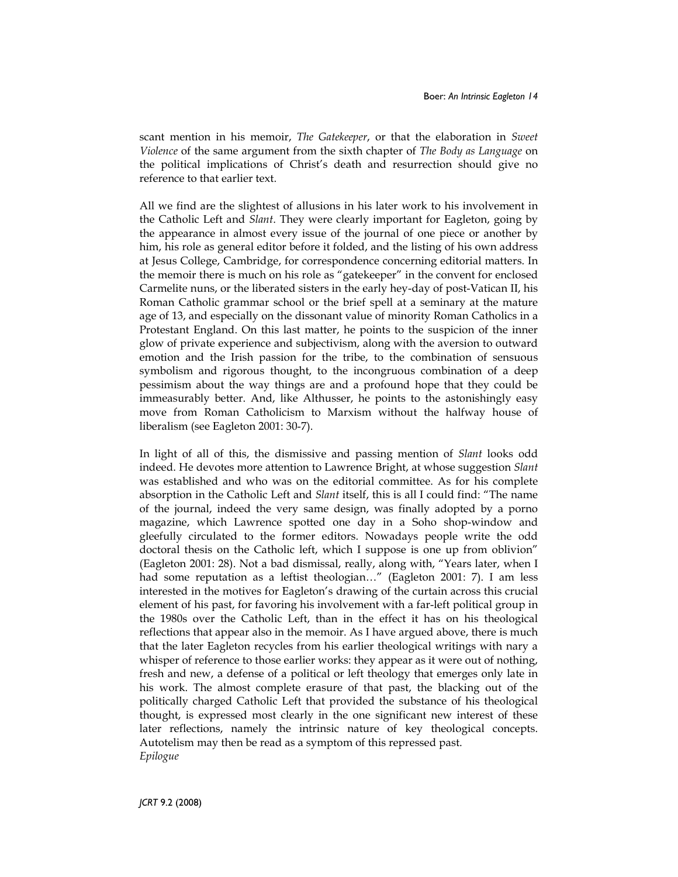scant mention in his memoir, The Gatekeeper, or that the elaboration in Sweet Violence of the same argument from the sixth chapter of The Body as Language on the political implications of Christ's death and resurrection should give no reference to that earlier text.

All we find are the slightest of allusions in his later work to his involvement in the Catholic Left and Slant. They were clearly important for Eagleton, going by the appearance in almost every issue of the journal of one piece or another by him, his role as general editor before it folded, and the listing of his own address at Jesus College, Cambridge, for correspondence concerning editorial matters. In the memoir there is much on his role as "gatekeeper" in the convent for enclosed Carmelite nuns, or the liberated sisters in the early hey-day of post-Vatican II, his Roman Catholic grammar school or the brief spell at a seminary at the mature age of 13, and especially on the dissonant value of minority Roman Catholics in a Protestant England. On this last matter, he points to the suspicion of the inner glow of private experience and subjectivism, along with the aversion to outward emotion and the Irish passion for the tribe, to the combination of sensuous symbolism and rigorous thought, to the incongruous combination of a deep pessimism about the way things are and a profound hope that they could be immeasurably better. And, like Althusser, he points to the astonishingly easy move from Roman Catholicism to Marxism without the halfway house of liberalism (see Eagleton 2001: 30-7).

In light of all of this, the dismissive and passing mention of Slant looks odd indeed. He devotes more attention to Lawrence Bright, at whose suggestion Slant was established and who was on the editorial committee. As for his complete absorption in the Catholic Left and *Slant* itself, this is all I could find: "The name of the journal, indeed the very same design, was finally adopted by a porno magazine, which Lawrence spotted one day in a Soho shop-window and gleefully circulated to the former editors. Nowadays people write the odd doctoral thesis on the Catholic left, which I suppose is one up from oblivion" (Eagleton 2001: 28). Not a bad dismissal, really, along with, "Years later, when I had some reputation as a leftist theologian…" (Eagleton 2001: 7). I am less interested in the motives for Eagleton's drawing of the curtain across this crucial element of his past, for favoring his involvement with a far-left political group in the 1980s over the Catholic Left, than in the effect it has on his theological reflections that appear also in the memoir. As I have argued above, there is much that the later Eagleton recycles from his earlier theological writings with nary a whisper of reference to those earlier works: they appear as it were out of nothing, fresh and new, a defense of a political or left theology that emerges only late in his work. The almost complete erasure of that past, the blacking out of the politically charged Catholic Left that provided the substance of his theological thought, is expressed most clearly in the one significant new interest of these later reflections, namely the intrinsic nature of key theological concepts. Autotelism may then be read as a symptom of this repressed past. Epilogue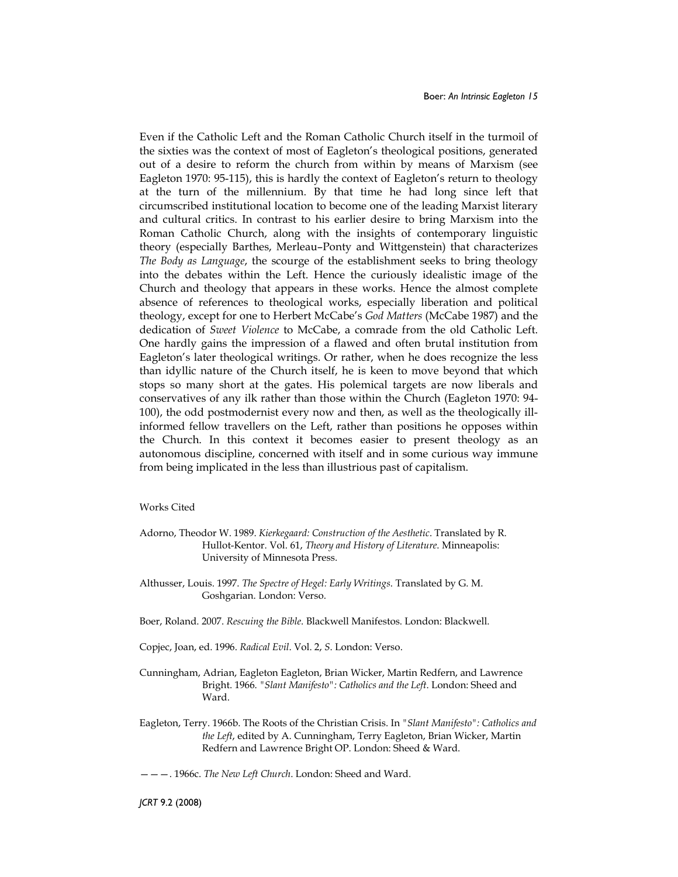Even if the Catholic Left and the Roman Catholic Church itself in the turmoil of the sixties was the context of most of Eagleton's theological positions, generated out of a desire to reform the church from within by means of Marxism (see Eagleton 1970: 95-115), this is hardly the context of Eagleton's return to theology at the turn of the millennium. By that time he had long since left that circumscribed institutional location to become one of the leading Marxist literary and cultural critics. In contrast to his earlier desire to bring Marxism into the Roman Catholic Church, along with the insights of contemporary linguistic theory (especially Barthes, Merleau–Ponty and Wittgenstein) that characterizes The Body as Language, the scourge of the establishment seeks to bring theology into the debates within the Left. Hence the curiously idealistic image of the Church and theology that appears in these works. Hence the almost complete absence of references to theological works, especially liberation and political theology, except for one to Herbert McCabe's God Matters (McCabe 1987) and the dedication of Sweet Violence to McCabe, a comrade from the old Catholic Left. One hardly gains the impression of a flawed and often brutal institution from Eagleton's later theological writings. Or rather, when he does recognize the less than idyllic nature of the Church itself, he is keen to move beyond that which stops so many short at the gates. His polemical targets are now liberals and conservatives of any ilk rather than those within the Church (Eagleton 1970: 94- 100), the odd postmodernist every now and then, as well as the theologically illinformed fellow travellers on the Left, rather than positions he opposes within the Church. In this context it becomes easier to present theology as an autonomous discipline, concerned with itself and in some curious way immune from being implicated in the less than illustrious past of capitalism.

## Works Cited

- Adorno, Theodor W. 1989. Kierkegaard: Construction of the Aesthetic. Translated by R. Hullot-Kentor. Vol. 61, Theory and History of Literature. Minneapolis: University of Minnesota Press.
- Althusser, Louis. 1997. The Spectre of Hegel: Early Writings. Translated by G. M. Goshgarian. London: Verso.
- Boer, Roland. 2007. Rescuing the Bible. Blackwell Manifestos. London: Blackwell.
- Copjec, Joan, ed. 1996. Radical Evil. Vol. 2, S. London: Verso.
- Cunningham, Adrian, Eagleton Eagleton, Brian Wicker, Martin Redfern, and Lawrence Bright. 1966. "Slant Manifesto": Catholics and the Left. London: Sheed and Ward.
- Eagleton, Terry. 1966b. The Roots of the Christian Crisis. In "Slant Manifesto": Catholics and the Left, edited by A. Cunningham, Terry Eagleton, Brian Wicker, Martin Redfern and Lawrence Bright OP. London: Sheed & Ward.

———. 1966c. The New Left Church. London: Sheed and Ward.

JCRT 9.2 (2008)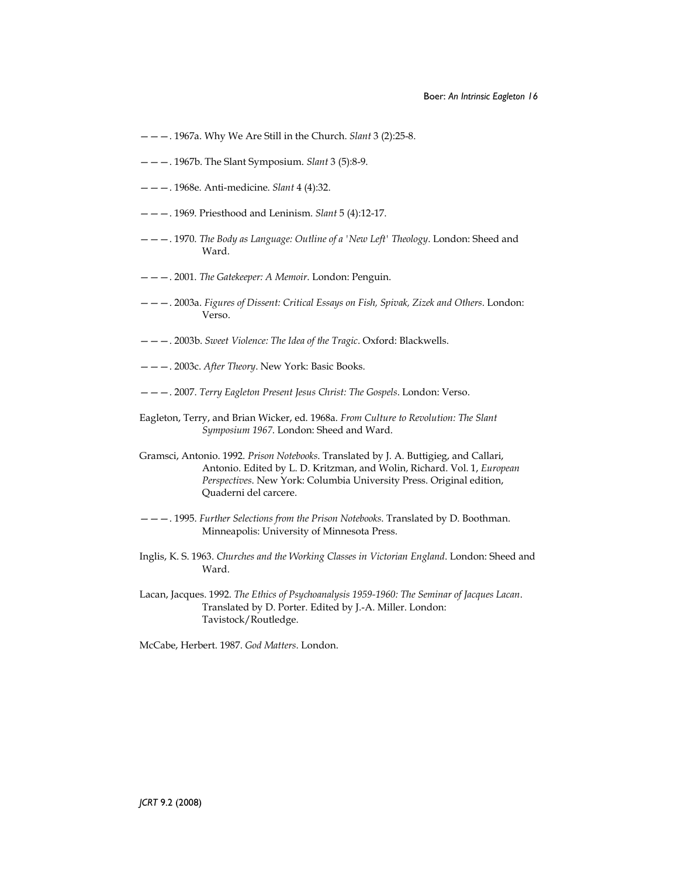- $---$ . 1967a. Why We Are Still in the Church. Slant 3 (2):25-8.
- ———. 1967b. The Slant Symposium. Slant 3 (5):8-9.
- ———. 1968e. Anti-medicine. Slant 4 (4):32.
- ———. 1969. Priesthood and Leninism. Slant 5 (4):12-17.
- ———. 1970. The Body as Language: Outline of a 'New Left' Theology. London: Sheed and Ward.
- ———. 2001. The Gatekeeper: A Memoir. London: Penguin.
- ———. 2003a. Figures of Dissent: Critical Essays on Fish, Spivak, Zizek and Others. London: Verso.
- ———. 2003b. Sweet Violence: The Idea of the Tragic. Oxford: Blackwells.
- ———. 2003c. After Theory. New York: Basic Books.
- ———. 2007. Terry Eagleton Present Jesus Christ: The Gospels. London: Verso.
- Eagleton, Terry, and Brian Wicker, ed. 1968a. From Culture to Revolution: The Slant Symposium 1967. London: Sheed and Ward.
- Gramsci, Antonio. 1992. Prison Notebooks. Translated by J. A. Buttigieg, and Callari, Antonio. Edited by L. D. Kritzman, and Wolin, Richard. Vol. 1, European Perspectives. New York: Columbia University Press. Original edition, Quaderni del carcere.
- ———. 1995. Further Selections from the Prison Notebooks. Translated by D. Boothman. Minneapolis: University of Minnesota Press.
- Inglis, K. S. 1963. Churches and the Working Classes in Victorian England. London: Sheed and Ward.
- Lacan, Jacques. 1992. The Ethics of Psychoanalysis 1959-1960: The Seminar of Jacques Lacan. Translated by D. Porter. Edited by J.-A. Miller. London: Tavistock/Routledge.

McCabe, Herbert. 1987. God Matters. London.